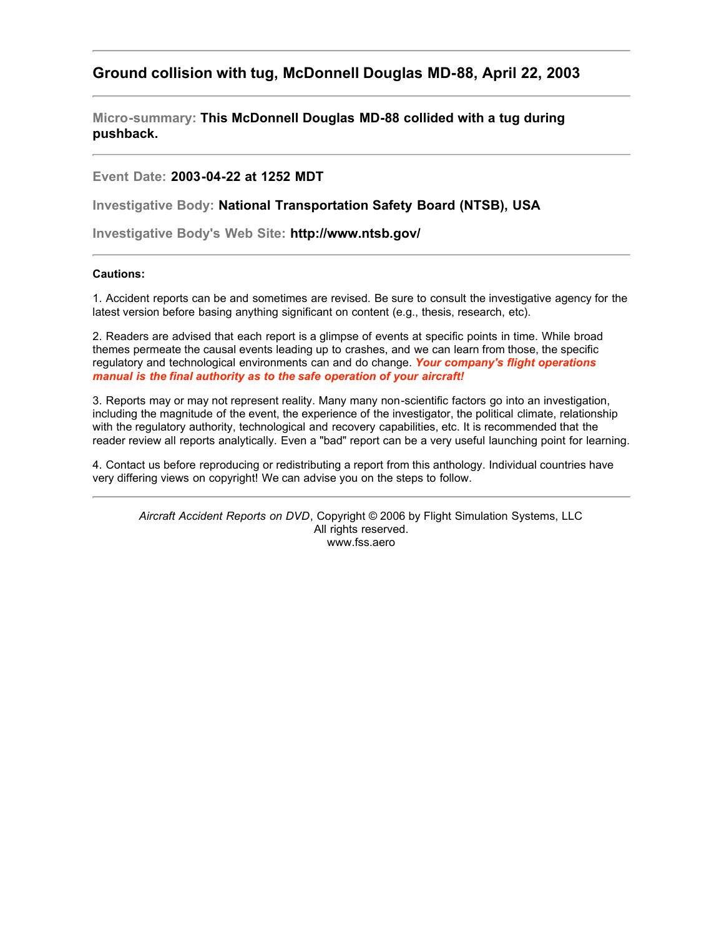# **Ground collision with tug, McDonnell Douglas MD-88, April 22, 2003**

**Micro-summary: This McDonnell Douglas MD-88 collided with a tug during pushback.**

## **Event Date: 2003-04-22 at 1252 MDT**

**Investigative Body: National Transportation Safety Board (NTSB), USA**

**Investigative Body's Web Site: http://www.ntsb.gov/**

### **Cautions:**

1. Accident reports can be and sometimes are revised. Be sure to consult the investigative agency for the latest version before basing anything significant on content (e.g., thesis, research, etc).

2. Readers are advised that each report is a glimpse of events at specific points in time. While broad themes permeate the causal events leading up to crashes, and we can learn from those, the specific regulatory and technological environments can and do change. *Your company's flight operations manual is the final authority as to the safe operation of your aircraft!*

3. Reports may or may not represent reality. Many many non-scientific factors go into an investigation, including the magnitude of the event, the experience of the investigator, the political climate, relationship with the regulatory authority, technological and recovery capabilities, etc. It is recommended that the reader review all reports analytically. Even a "bad" report can be a very useful launching point for learning.

4. Contact us before reproducing or redistributing a report from this anthology. Individual countries have very differing views on copyright! We can advise you on the steps to follow.

*Aircraft Accident Reports on DVD*, Copyright © 2006 by Flight Simulation Systems, LLC All rights reserved. www.fss.aero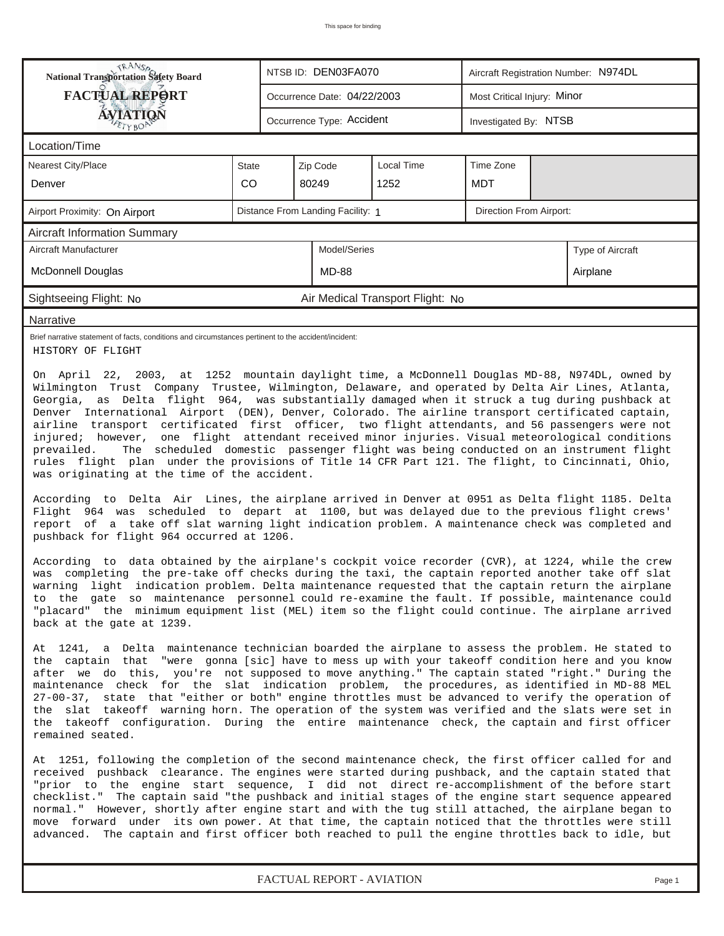| <b>National Transportation Safety Board</b>                                                                                                                                                                                                                                                                                                                                                                                                                                                                                                                                                                                                                                                                                                                                                                                                                                                                                                                                                                                                                                                                                                                                                                                                                                                                                                                                                                                                                                                                 |       |                             | NTSB ID: DEN03FA070               |                                  | Aircraft Registration Number: N974DL |  |                  |  |  |
|-------------------------------------------------------------------------------------------------------------------------------------------------------------------------------------------------------------------------------------------------------------------------------------------------------------------------------------------------------------------------------------------------------------------------------------------------------------------------------------------------------------------------------------------------------------------------------------------------------------------------------------------------------------------------------------------------------------------------------------------------------------------------------------------------------------------------------------------------------------------------------------------------------------------------------------------------------------------------------------------------------------------------------------------------------------------------------------------------------------------------------------------------------------------------------------------------------------------------------------------------------------------------------------------------------------------------------------------------------------------------------------------------------------------------------------------------------------------------------------------------------------|-------|-----------------------------|-----------------------------------|----------------------------------|--------------------------------------|--|------------------|--|--|
| <b>FACTUAL REPORT</b>                                                                                                                                                                                                                                                                                                                                                                                                                                                                                                                                                                                                                                                                                                                                                                                                                                                                                                                                                                                                                                                                                                                                                                                                                                                                                                                                                                                                                                                                                       |       | Occurrence Date: 04/22/2003 |                                   |                                  | Most Critical Injury: Minor          |  |                  |  |  |
| AVIATION                                                                                                                                                                                                                                                                                                                                                                                                                                                                                                                                                                                                                                                                                                                                                                                                                                                                                                                                                                                                                                                                                                                                                                                                                                                                                                                                                                                                                                                                                                    |       |                             | Occurrence Type: Accident         |                                  | Investigated By: NTSB                |  |                  |  |  |
| Location/Time                                                                                                                                                                                                                                                                                                                                                                                                                                                                                                                                                                                                                                                                                                                                                                                                                                                                                                                                                                                                                                                                                                                                                                                                                                                                                                                                                                                                                                                                                               |       |                             |                                   |                                  |                                      |  |                  |  |  |
| <b>Nearest City/Place</b>                                                                                                                                                                                                                                                                                                                                                                                                                                                                                                                                                                                                                                                                                                                                                                                                                                                                                                                                                                                                                                                                                                                                                                                                                                                                                                                                                                                                                                                                                   | State |                             | Zip Code                          | Local Time                       | Time Zone                            |  |                  |  |  |
| Denver                                                                                                                                                                                                                                                                                                                                                                                                                                                                                                                                                                                                                                                                                                                                                                                                                                                                                                                                                                                                                                                                                                                                                                                                                                                                                                                                                                                                                                                                                                      | CO    |                             | 80249                             | 1252                             | <b>MDT</b>                           |  |                  |  |  |
| Airport Proximity: On Airport                                                                                                                                                                                                                                                                                                                                                                                                                                                                                                                                                                                                                                                                                                                                                                                                                                                                                                                                                                                                                                                                                                                                                                                                                                                                                                                                                                                                                                                                               |       |                             | Distance From Landing Facility: 1 |                                  | Direction From Airport:              |  |                  |  |  |
| Aircraft Information Summary                                                                                                                                                                                                                                                                                                                                                                                                                                                                                                                                                                                                                                                                                                                                                                                                                                                                                                                                                                                                                                                                                                                                                                                                                                                                                                                                                                                                                                                                                |       |                             |                                   |                                  |                                      |  |                  |  |  |
| Aircraft Manufacturer                                                                                                                                                                                                                                                                                                                                                                                                                                                                                                                                                                                                                                                                                                                                                                                                                                                                                                                                                                                                                                                                                                                                                                                                                                                                                                                                                                                                                                                                                       |       |                             | Model/Series                      |                                  |                                      |  | Type of Aircraft |  |  |
| <b>McDonnell Douglas</b>                                                                                                                                                                                                                                                                                                                                                                                                                                                                                                                                                                                                                                                                                                                                                                                                                                                                                                                                                                                                                                                                                                                                                                                                                                                                                                                                                                                                                                                                                    |       |                             | <b>MD-88</b>                      |                                  |                                      |  | Airplane         |  |  |
| Sightseeing Flight: No                                                                                                                                                                                                                                                                                                                                                                                                                                                                                                                                                                                                                                                                                                                                                                                                                                                                                                                                                                                                                                                                                                                                                                                                                                                                                                                                                                                                                                                                                      |       |                             |                                   | Air Medical Transport Flight: No |                                      |  |                  |  |  |
| Narrative                                                                                                                                                                                                                                                                                                                                                                                                                                                                                                                                                                                                                                                                                                                                                                                                                                                                                                                                                                                                                                                                                                                                                                                                                                                                                                                                                                                                                                                                                                   |       |                             |                                   |                                  |                                      |  |                  |  |  |
| Brief narrative statement of facts, conditions and circumstances pertinent to the accident/incident:<br>HISTORY OF FLIGHT                                                                                                                                                                                                                                                                                                                                                                                                                                                                                                                                                                                                                                                                                                                                                                                                                                                                                                                                                                                                                                                                                                                                                                                                                                                                                                                                                                                   |       |                             |                                   |                                  |                                      |  |                  |  |  |
| Georgia, as Delta flight 964, was substantially damaged when it struck a tug during pushback at<br>Denver International Airport (DEN), Denver, Colorado. The airline transport certificated captain,<br>airline transport certificated first officer, two flight attendants, and 56 passengers were not<br>injured; however, one flight attendant received minor injuries. Visual meteorological conditions<br>prevailed.<br>The scheduled domestic passenger flight was being conducted on an instrument flight<br>rules flight plan under the provisions of Title 14 CFR Part 121. The flight, to Cincinnati, Ohio,<br>was originating at the time of the accident.<br>According to Delta Air Lines, the airplane arrived in Denver at 0951 as Delta flight 1185. Delta<br>Flight 964 was scheduled to depart at 1100, but was delayed due to the previous flight crews'<br>report of a take off slat warning light indication problem. A maintenance check was completed and<br>pushback for flight 964 occurred at 1206.<br>According to data obtained by the airplane's cockpit voice recorder (CVR), at 1224, while the crew<br>was completing the pre-take off checks during the taxi, the captain reported another take off slat<br>warning light indication problem. Delta maintenance requested that the captain return the airplane<br>to the gate so maintenance personnel could re-examine the fault. If possible, maintenance could                                                           |       |                             |                                   |                                  |                                      |  |                  |  |  |
| back at the gate at 1239.<br>At 1241, a Delta maintenance technician boarded the airplane to assess the problem. He stated to<br>the captain that "were gonna [sic] have to mess up with your takeoff condition here and you know<br>after we do this, you're not supposed to move anything." The captain stated "right." During the<br>maintenance check for the slat indication problem, the procedures, as identified in MD-88 MEL<br>27-00-37, state that "either or both" engine throttles must be advanced to verify the operation of<br>the slat takeoff warning horn. The operation of the system was verified and the slats were set in<br>the takeoff configuration. During the entire maintenance check, the captain and first officer<br>remained seated.<br>At 1251, following the completion of the second maintenance check, the first officer called for and<br>received pushback clearance. The engines were started during pushback, and the captain stated that<br>"prior to the engine start sequence, I did not direct re-accomplishment of the before start<br>checklist." The captain said "the pushback and initial stages of the engine start sequence appeared<br>normal." However, shortly after engine start and with the tug still attached, the airplane began to<br>move forward under its own power. At that time, the captain noticed that the throttles were still<br>advanced. The captain and first officer both reached to pull the engine throttles back to idle, but |       |                             |                                   |                                  |                                      |  |                  |  |  |

*FACTUAL REPORT - AVIATION Page 1*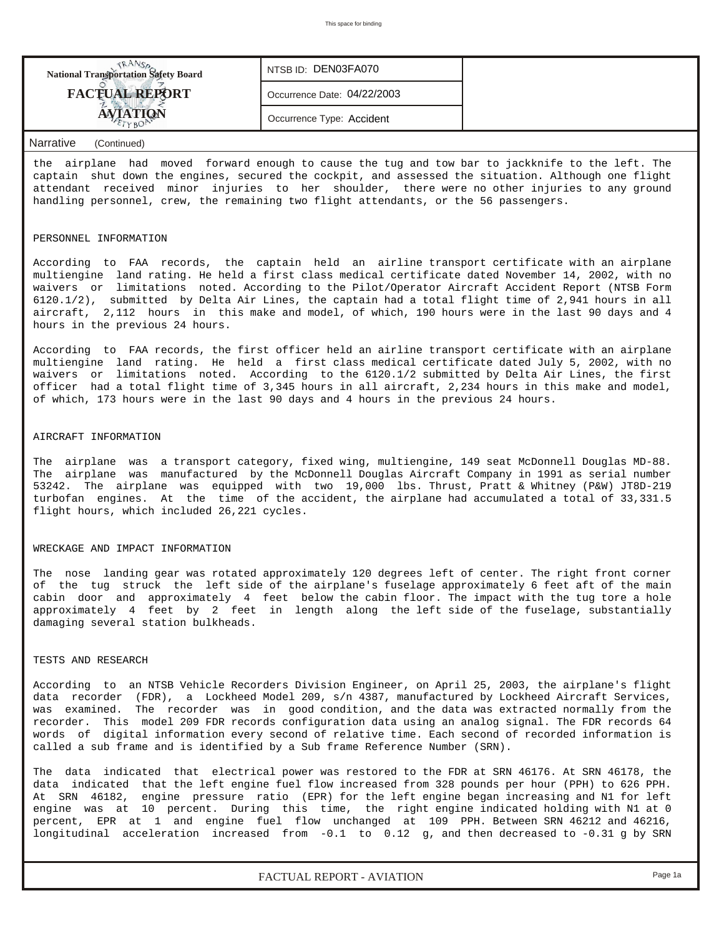| <b>National Transportation Safety Board</b> | NTSB ID: DEN03FA070         |  |
|---------------------------------------------|-----------------------------|--|
| <b>FACTUAL REPORT</b>                       | Occurrence Date: 04/22/2003 |  |
|                                             | Occurrence Type: Accident   |  |
|                                             |                             |  |

#### *Narrative (Continued)*

the airplane had moved forward enough to cause the tug and tow bar to jackknife to the left. The captain shut down the engines, secured the cockpit, and assessed the situation. Although one flight attendant received minor injuries to her shoulder, there were no other injuries to any ground handling personnel, crew, the remaining two flight attendants, or the 56 passengers.

#### PERSONNEL INFORMATION

According to FAA records, the captain held an airline transport certificate with an airplane multiengine land rating. He held a first class medical certificate dated November 14, 2002, with no waivers or limitations noted. According to the Pilot/Operator Aircraft Accident Report (NTSB Form 6120.1/2), submitted by Delta Air Lines, the captain had a total flight time of 2,941 hours in all aircraft, 2,112 hours in this make and model, of which, 190 hours were in the last 90 days and 4 hours in the previous 24 hours.

According to FAA records, the first officer held an airline transport certificate with an airplane multiengine land rating. He held a first class medical certificate dated July 5, 2002, with no waivers or limitations noted. According to the 6120.1/2 submitted by Delta Air Lines, the first officer had a total flight time of 3,345 hours in all aircraft, 2,234 hours in this make and model, of which, 173 hours were in the last 90 days and 4 hours in the previous 24 hours.

#### AIRCRAFT INFORMATION

The airplane was a transport category, fixed wing, multiengine, 149 seat McDonnell Douglas MD-88. The airplane was manufactured by the McDonnell Douglas Aircraft Company in 1991 as serial number 53242. The airplane was equipped with two 19,000 lbs. Thrust, Pratt & Whitney (P&W) JT8D-219 turbofan engines. At the time of the accident, the airplane had accumulated a total of 33,331.5 flight hours, which included 26,221 cycles.

#### WRECKAGE AND IMPACT INFORMATION

The nose landing gear was rotated approximately 120 degrees left of center. The right front corner of the tug struck the left side of the airplane's fuselage approximately 6 feet aft of the main cabin door and approximately 4 feet below the cabin floor. The impact with the tug tore a hole approximately 4 feet by 2 feet in length along the left side of the fuselage, substantially damaging several station bulkheads.

#### TESTS AND RESEARCH

According to an NTSB Vehicle Recorders Division Engineer, on April 25, 2003, the airplane's flight data recorder (FDR), a Lockheed Model 209, s/n 4387, manufactured by Lockheed Aircraft Services, was examined. The recorder was in good condition, and the data was extracted normally from the recorder. This model 209 FDR records configuration data using an analog signal. The FDR records 64 words of digital information every second of relative time. Each second of recorded information is called a sub frame and is identified by a Sub frame Reference Number (SRN).

The data indicated that electrical power was restored to the FDR at SRN 46176. At SRN 46178, the data indicated that the left engine fuel flow increased from 328 pounds per hour (PPH) to 626 PPH. At SRN 46182, engine pressure ratio (EPR) for the left engine began increasing and N1 for left engine was at 10 percent. During this time, the right engine indicated holding with N1 at 0 percent, EPR at 1 and engine fuel flow unchanged at 109 PPH. Between SRN 46212 and 46216, longitudinal acceleration increased from -0.1 to 0.12 g, and then decreased to -0.31 g by SRN

*FACTUAL REPORT - AVIATION Page 1a*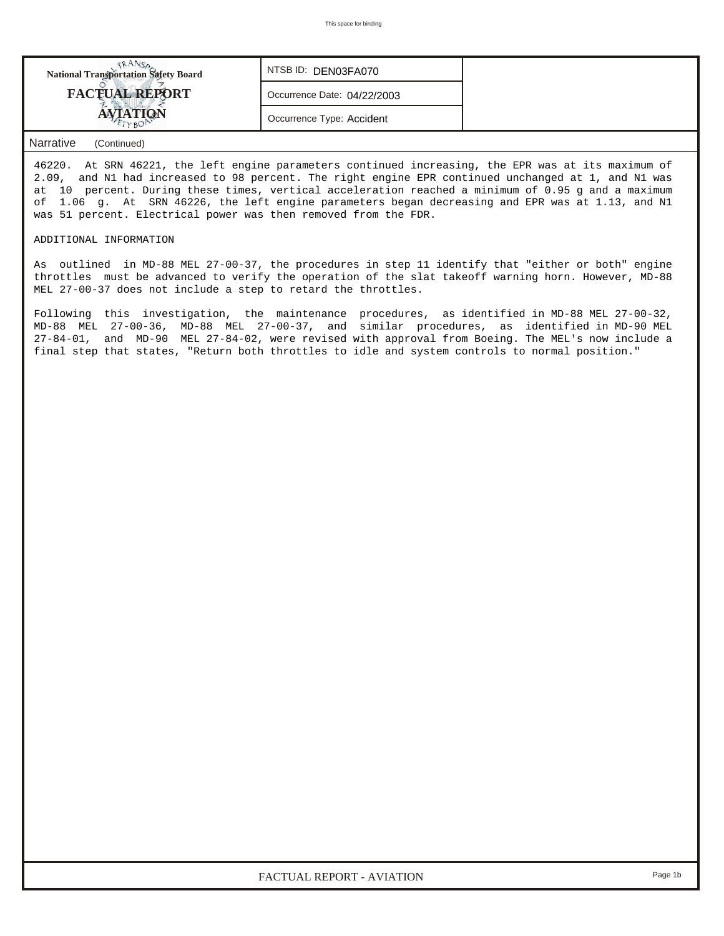| <b>National Transportation Safety Board</b> | NTSB ID: DEN03FA070         |  |
|---------------------------------------------|-----------------------------|--|
| <b>FACTUAL REPORT</b>                       | Occurrence Date: 04/22/2003 |  |
| <b>AVIATION</b>                             | Occurrence Type: Accident   |  |

### *Narrative (Continued)*

46220. At SRN 46221, the left engine parameters continued increasing, the EPR was at its maximum of 2.09, and N1 had increased to 98 percent. The right engine EPR continued unchanged at 1, and N1 was at 10 percent. During these times, vertical acceleration reached a minimum of 0.95 g and a maximum of 1.06 g. At SRN 46226, the left engine parameters began decreasing and EPR was at 1.13, and N1 was 51 percent. Electrical power was then removed from the FDR.

#### ADDITIONAL INFORMATION

As outlined in MD-88 MEL 27-00-37, the procedures in step 11 identify that "either or both" engine throttles must be advanced to verify the operation of the slat takeoff warning horn. However, MD-88 MEL 27-00-37 does not include a step to retard the throttles.

Following this investigation, the maintenance procedures, as identified in MD-88 MEL 27-00-32, MD-88 MEL 27-00-36, MD-88 MEL 27-00-37, and similar procedures, as identified in MD-90 MEL 27-84-01, and MD-90 MEL 27-84-02, were revised with approval from Boeing. The MEL's now include a final step that states, "Return both throttles to idle and system controls to normal position."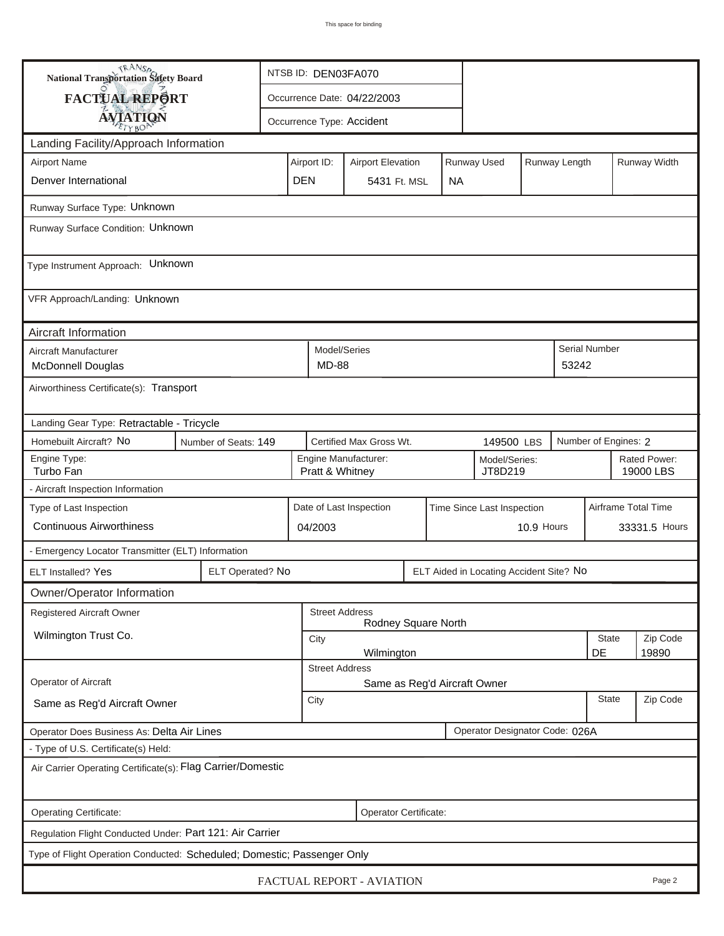| <b>National Transportation Safety Board</b>                                  |                                                                         | NTSB ID: DEN03FA070 |                                                       |                                                                         |                              |  |           |                                         |                                    |                     |                           |              |  |
|------------------------------------------------------------------------------|-------------------------------------------------------------------------|---------------------|-------------------------------------------------------|-------------------------------------------------------------------------|------------------------------|--|-----------|-----------------------------------------|------------------------------------|---------------------|---------------------------|--------------|--|
| FACTUAL REPORT                                                               |                                                                         |                     | Occurrence Date: 04/22/2003                           |                                                                         |                              |  |           |                                         |                                    |                     |                           |              |  |
| <b>AVIATION</b>                                                              |                                                                         |                     |                                                       |                                                                         | Occurrence Type: Accident    |  |           |                                         |                                    |                     |                           |              |  |
| Landing Facility/Approach Information                                        |                                                                         |                     |                                                       |                                                                         |                              |  |           |                                         |                                    |                     |                           |              |  |
| <b>Airport Name</b>                                                          |                                                                         |                     |                                                       | Runway Used<br>Airport ID:<br>Runway Length<br><b>Airport Elevation</b> |                              |  |           |                                         |                                    |                     |                           | Runway Width |  |
| Denver International                                                         |                                                                         |                     | <b>DEN</b>                                            |                                                                         | 5431 Ft. MSL                 |  | <b>NA</b> |                                         |                                    |                     |                           |              |  |
| Runway Surface Type: Unknown                                                 |                                                                         |                     |                                                       |                                                                         |                              |  |           |                                         |                                    |                     |                           |              |  |
| Runway Surface Condition: Unknown                                            |                                                                         |                     |                                                       |                                                                         |                              |  |           |                                         |                                    |                     |                           |              |  |
| Type Instrument Approach: Unknown                                            |                                                                         |                     |                                                       |                                                                         |                              |  |           |                                         |                                    |                     |                           |              |  |
| VFR Approach/Landing: Unknown                                                |                                                                         |                     |                                                       |                                                                         |                              |  |           |                                         |                                    |                     |                           |              |  |
| Aircraft Information                                                         |                                                                         |                     |                                                       |                                                                         |                              |  |           |                                         |                                    |                     |                           |              |  |
| Aircraft Manufacturer<br>McDonnell Douglas                                   |                                                                         |                     |                                                       | Model/Series<br>MD-88                                                   |                              |  |           |                                         |                                    | 53242               | <b>Serial Number</b>      |              |  |
| Airworthiness Certificate(s): Transport                                      |                                                                         |                     |                                                       |                                                                         |                              |  |           |                                         |                                    |                     |                           |              |  |
| Landing Gear Type: Retractable - Tricycle                                    |                                                                         |                     |                                                       |                                                                         |                              |  |           |                                         |                                    |                     |                           |              |  |
| Homebuilt Aircraft? No<br>Certified Max Gross Wt.<br>Number of Seats: 149    |                                                                         |                     |                                                       |                                                                         |                              |  |           |                                         | Number of Engines: 2<br>149500 LBS |                     |                           |              |  |
| Engine Type:<br>Turbo Fan                                                    |                                                                         |                     |                                                       | Engine Manufacturer:<br>Model/Series:<br>JT8D219<br>Pratt & Whitney     |                              |  |           |                                         |                                    |                     | Rated Power:<br>19000 LBS |              |  |
| - Aircraft Inspection Information                                            |                                                                         |                     |                                                       |                                                                         |                              |  |           |                                         |                                    |                     |                           |              |  |
| Type of Last Inspection                                                      |                                                                         |                     | Date of Last Inspection<br>Time Since Last Inspection |                                                                         |                              |  |           |                                         |                                    | Airframe Total Time |                           |              |  |
| <b>Continuous Airworthiness</b>                                              |                                                                         |                     |                                                       | 04/2003                                                                 |                              |  |           |                                         | 10.9 Hours                         | 33331.5 Hours       |                           |              |  |
| - Emergency Locator Transmitter (ELT) Information                            |                                                                         |                     |                                                       |                                                                         |                              |  |           |                                         |                                    |                     |                           |              |  |
| ELT Installed? Yes                                                           | ELT Operated? No                                                        |                     |                                                       |                                                                         |                              |  |           | ELT Aided in Locating Accident Site? No |                                    |                     |                           |              |  |
| Owner/Operator Information                                                   |                                                                         |                     |                                                       |                                                                         |                              |  |           |                                         |                                    |                     |                           |              |  |
| Registered Aircraft Owner                                                    |                                                                         |                     |                                                       | <b>Street Address</b>                                                   | Rodney Square North          |  |           |                                         |                                    |                     |                           |              |  |
| Wilmington Trust Co.                                                         |                                                                         |                     |                                                       | <b>State</b><br>City<br>DE                                              |                              |  |           |                                         |                                    |                     | Zip Code<br>19890         |              |  |
| Wilmington<br><b>Street Address</b>                                          |                                                                         |                     |                                                       |                                                                         |                              |  |           |                                         |                                    |                     |                           |              |  |
| Operator of Aircraft                                                         |                                                                         |                     |                                                       |                                                                         | Same as Reg'd Aircraft Owner |  |           |                                         |                                    |                     |                           |              |  |
| Same as Reg'd Aircraft Owner                                                 |                                                                         |                     |                                                       |                                                                         | <b>State</b><br>City         |  |           |                                         |                                    |                     |                           | Zip Code     |  |
| Operator Designator Code: 026A<br>Operator Does Business As: Delta Air Lines |                                                                         |                     |                                                       |                                                                         |                              |  |           |                                         |                                    |                     |                           |              |  |
|                                                                              | - Type of U.S. Certificate(s) Held:                                     |                     |                                                       |                                                                         |                              |  |           |                                         |                                    |                     |                           |              |  |
| Air Carrier Operating Certificate(s): Flag Carrier/Domestic                  |                                                                         |                     |                                                       |                                                                         |                              |  |           |                                         |                                    |                     |                           |              |  |
| Operating Certificate:<br>Operator Certificate:                              |                                                                         |                     |                                                       |                                                                         |                              |  |           |                                         |                                    |                     |                           |              |  |
| Regulation Flight Conducted Under: Part 121: Air Carrier                     |                                                                         |                     |                                                       |                                                                         |                              |  |           |                                         |                                    |                     |                           |              |  |
|                                                                              | Type of Flight Operation Conducted: Scheduled; Domestic; Passenger Only |                     |                                                       |                                                                         |                              |  |           |                                         |                                    |                     |                           |              |  |
| FACTUAL REPORT - AVIATION<br>Page 2                                          |                                                                         |                     |                                                       |                                                                         |                              |  |           |                                         |                                    |                     |                           |              |  |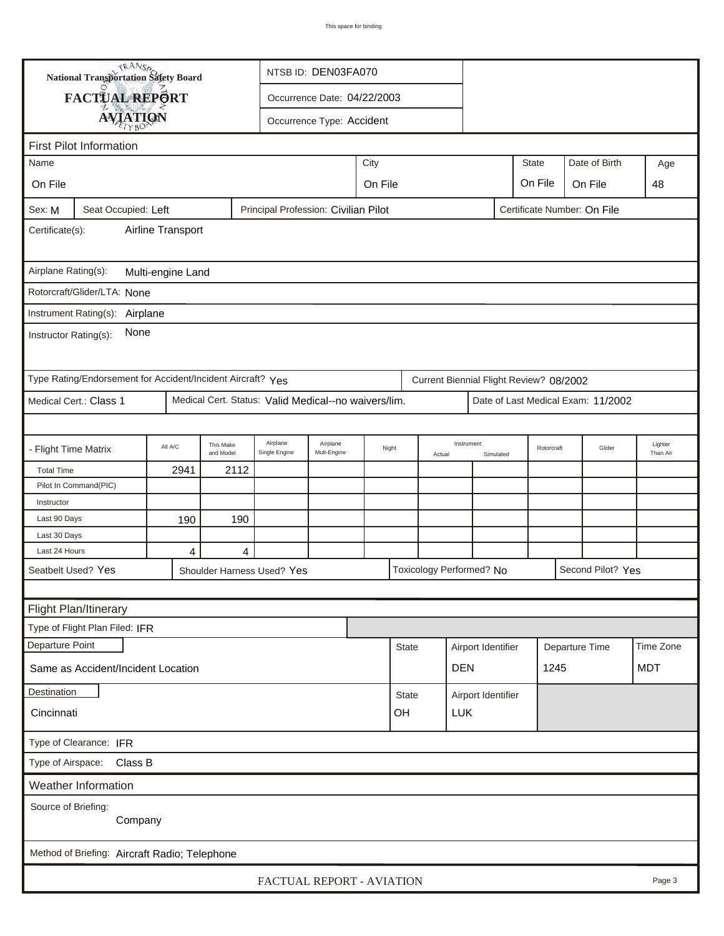| <b>National Transportation Safety Board</b>                            |                                                                                            |                        |                                                      | NTSB ID: DEN03FA070         |         |                 |  |                          |                                      |                                         |     |                                    |                     |
|------------------------------------------------------------------------|--------------------------------------------------------------------------------------------|------------------------|------------------------------------------------------|-----------------------------|---------|-----------------|--|--------------------------|--------------------------------------|-----------------------------------------|-----|------------------------------------|---------------------|
| <b>FACTUAL REPORT</b>                                                  |                                                                                            |                        |                                                      | Occurrence Date: 04/22/2003 |         |                 |  |                          |                                      |                                         |     |                                    |                     |
|                                                                        |                                                                                            |                        |                                                      |                             |         |                 |  |                          |                                      |                                         |     |                                    |                     |
| <b>AVIATION</b>                                                        |                                                                                            |                        |                                                      | Occurrence Type: Accident   |         |                 |  |                          |                                      |                                         |     |                                    |                     |
| <b>First Pilot Information</b>                                         |                                                                                            |                        |                                                      |                             |         |                 |  |                          |                                      |                                         |     |                                    |                     |
| City<br><b>State</b><br>Date of Birth<br>Name                          |                                                                                            |                        |                                                      |                             |         |                 |  |                          |                                      |                                         | Age |                                    |                     |
| On File                                                                |                                                                                            |                        |                                                      |                             | On File |                 |  |                          |                                      | On File                                 |     | On File                            | 48                  |
| Sex: M                                                                 | Principal Profession: Civilian Pilot<br>Seat Occupied: Left<br>Certificate Number: On File |                        |                                                      |                             |         |                 |  |                          |                                      |                                         |     |                                    |                     |
| Airline Transport<br>Certificate(s):                                   |                                                                                            |                        |                                                      |                             |         |                 |  |                          |                                      |                                         |     |                                    |                     |
| Airplane Rating(s):<br>Multi-engine Land                               |                                                                                            |                        |                                                      |                             |         |                 |  |                          |                                      |                                         |     |                                    |                     |
| Rotorcraft/Glider/LTA: None                                            |                                                                                            |                        |                                                      |                             |         |                 |  |                          |                                      |                                         |     |                                    |                     |
| Instrument Rating(s): Airplane                                         |                                                                                            |                        |                                                      |                             |         |                 |  |                          |                                      |                                         |     |                                    |                     |
| None<br>Instructor Rating(s):                                          |                                                                                            |                        |                                                      |                             |         |                 |  |                          |                                      |                                         |     |                                    |                     |
| Type Rating/Endorsement for Accident/Incident Aircraft? Yes            |                                                                                            |                        |                                                      |                             |         |                 |  |                          |                                      | Current Biennial Flight Review? 08/2002 |     |                                    |                     |
| Medical Cert.: Class 1                                                 |                                                                                            |                        | Medical Cert. Status: Valid Medical--no waivers/lim. |                             |         |                 |  |                          |                                      |                                         |     | Date of Last Medical Exam: 11/2002 |                     |
|                                                                        |                                                                                            |                        |                                                      |                             |         |                 |  |                          |                                      |                                         |     |                                    |                     |
| - Flight Time Matrix                                                   | All A/C                                                                                    | This Make<br>and Model | Airplane<br>Single Engine                            | Airplane<br>Mult-Engine     |         | Night<br>Actual |  | Instrument               | Simulated                            | Rotorcraft                              |     | Glider                             | Lighter<br>Than Air |
| <b>Total Time</b>                                                      | 2941                                                                                       | 2112                   |                                                      |                             |         |                 |  |                          |                                      |                                         |     |                                    |                     |
| Pilot In Command(PIC)                                                  |                                                                                            |                        |                                                      |                             |         |                 |  |                          |                                      |                                         |     |                                    |                     |
| Instructor                                                             |                                                                                            |                        |                                                      |                             |         |                 |  |                          |                                      |                                         |     |                                    |                     |
| Last 90 Days                                                           | 190                                                                                        | 190                    |                                                      |                             |         |                 |  |                          |                                      |                                         |     |                                    |                     |
| Last 30 Days                                                           |                                                                                            |                        |                                                      |                             |         |                 |  |                          |                                      |                                         |     |                                    |                     |
| Last 24 Hours                                                          | 4                                                                                          | $\overline{4}$         |                                                      |                             |         |                 |  |                          |                                      |                                         |     |                                    |                     |
| Seatbelt Used? Yes                                                     |                                                                                            |                        | Shoulder Harness Used? Yes                           |                             |         |                 |  | Toxicology Performed? No |                                      |                                         |     | Second Pilot? Yes                  |                     |
|                                                                        |                                                                                            |                        |                                                      |                             |         |                 |  |                          |                                      |                                         |     |                                    |                     |
| Flight Plan/Itinerary                                                  |                                                                                            |                        |                                                      |                             |         |                 |  |                          |                                      |                                         |     |                                    |                     |
| Type of Flight Plan Filed: IFR                                         |                                                                                            |                        |                                                      |                             |         |                 |  |                          |                                      |                                         |     |                                    |                     |
| Departure Point                                                        |                                                                                            |                        |                                                      |                             |         | <b>State</b>    |  |                          | Airport Identifier<br>Departure Time |                                         |     |                                    | Time Zone           |
| <b>DEN</b><br><b>MDT</b><br>1245<br>Same as Accident/Incident Location |                                                                                            |                        |                                                      |                             |         |                 |  |                          |                                      |                                         |     |                                    |                     |
| Destination                                                            |                                                                                            |                        |                                                      |                             |         | <b>State</b>    |  | Airport Identifier       |                                      |                                         |     |                                    |                     |
| Cincinnati<br>OH<br><b>LUK</b>                                         |                                                                                            |                        |                                                      |                             |         |                 |  |                          |                                      |                                         |     |                                    |                     |
| Type of Clearance: IFR                                                 |                                                                                            |                        |                                                      |                             |         |                 |  |                          |                                      |                                         |     |                                    |                     |
| Class B<br>Type of Airspace:                                           |                                                                                            |                        |                                                      |                             |         |                 |  |                          |                                      |                                         |     |                                    |                     |
| Weather Information                                                    |                                                                                            |                        |                                                      |                             |         |                 |  |                          |                                      |                                         |     |                                    |                     |
| Source of Briefing:<br>Company                                         |                                                                                            |                        |                                                      |                             |         |                 |  |                          |                                      |                                         |     |                                    |                     |
| Method of Briefing: Aircraft Radio; Telephone                          |                                                                                            |                        |                                                      |                             |         |                 |  |                          |                                      |                                         |     |                                    |                     |
| FACTUAL REPORT - AVIATION<br>Page 3                                    |                                                                                            |                        |                                                      |                             |         |                 |  |                          |                                      |                                         |     |                                    |                     |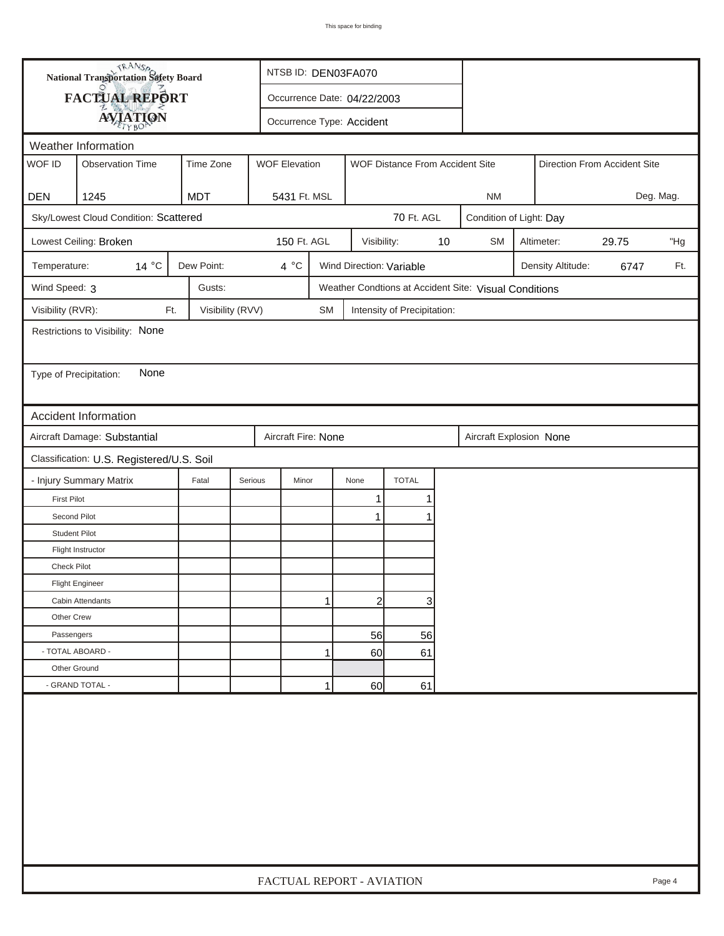|                        | <b>National Transportation Safety Board</b> |                  |                           | NTSB ID: DEN03FA070         |              |                                 |    |                                                       |  |                   |       |        |
|------------------------|---------------------------------------------|------------------|---------------------------|-----------------------------|--------------|---------------------------------|----|-------------------------------------------------------|--|-------------------|-------|--------|
|                        | FACTUAL REPORT                              |                  |                           | Occurrence Date: 04/22/2003 |              |                                 |    |                                                       |  |                   |       |        |
|                        | <b>AVIATION</b>                             |                  |                           | Occurrence Type: Accident   |              |                                 |    |                                                       |  |                   |       |        |
|                        | Weather Information                         |                  |                           |                             |              |                                 |    |                                                       |  |                   |       |        |
| WOF ID                 | <b>Observation Time</b>                     | Time Zone        | <b>WOF Elevation</b>      |                             |              | WOF Distance From Accident Site |    | Direction From Accident Site                          |  |                   |       |        |
|                        |                                             |                  |                           |                             |              |                                 |    |                                                       |  |                   |       |        |
| <b>DEN</b>             | 1245                                        | <b>MDT</b>       | 5431 Ft. MSL              |                             |              |                                 |    | <b>NM</b>                                             |  | Deg. Mag.         |       |        |
|                        | Sky/Lowest Cloud Condition: Scattered       |                  |                           |                             |              | 70 Ft. AGL                      |    | Condition of Light: Day                               |  |                   |       |        |
|                        | Lowest Ceiling: Broken                      |                  | 150 Ft. AGL               |                             | Visibility:  |                                 | 10 | <b>SM</b>                                             |  | Altimeter:        | 29.75 | "Hg    |
| Temperature:           | 14 °C                                       | Dew Point:       | 4 °C                      |                             |              | Wind Direction: Variable        |    |                                                       |  | Density Altitude: | 6747  | Ft.    |
| Wind Speed: 3          |                                             | Gusts:           |                           |                             |              |                                 |    | Weather Condtions at Accident Site: Visual Conditions |  |                   |       |        |
| Visibility (RVR):      | Ft.                                         | Visibility (RVV) |                           | <b>SM</b>                   |              | Intensity of Precipitation:     |    |                                                       |  |                   |       |        |
|                        | Restrictions to Visibility: None            |                  |                           |                             |              |                                 |    |                                                       |  |                   |       |        |
|                        |                                             |                  |                           |                             |              |                                 |    |                                                       |  |                   |       |        |
| Type of Precipitation: | None                                        |                  |                           |                             |              |                                 |    |                                                       |  |                   |       |        |
|                        |                                             |                  |                           |                             |              |                                 |    |                                                       |  |                   |       |        |
|                        | <b>Accident Information</b>                 |                  |                           |                             |              |                                 |    |                                                       |  |                   |       |        |
|                        | Aircraft Damage: Substantial                |                  | Aircraft Fire: None       |                             |              |                                 |    | Aircraft Explosion None                               |  |                   |       |        |
|                        | Classification: U.S. Registered/U.S. Soil   |                  |                           |                             |              |                                 |    |                                                       |  |                   |       |        |
|                        | - Injury Summary Matrix                     | Fatal            | Serious<br>Minor          |                             | None         | <b>TOTAL</b>                    |    |                                                       |  |                   |       |        |
| <b>First Pilot</b>     |                                             |                  |                           |                             | 1            | 1                               |    |                                                       |  |                   |       |        |
| Second Pilot           |                                             |                  |                           |                             | 1            | 1                               |    |                                                       |  |                   |       |        |
| <b>Student Pilot</b>   |                                             |                  |                           |                             |              |                                 |    |                                                       |  |                   |       |        |
|                        | Flight Instructor                           |                  |                           |                             |              |                                 |    |                                                       |  |                   |       |        |
| <b>Check Pilot</b>     |                                             |                  |                           |                             |              |                                 |    |                                                       |  |                   |       |        |
|                        | <b>Flight Engineer</b>                      |                  |                           |                             |              |                                 |    |                                                       |  |                   |       |        |
|                        | Cabin Attendants                            |                  |                           | 1                           | $\mathbf{2}$ | 3                               |    |                                                       |  |                   |       |        |
| Other Crew             |                                             |                  |                           |                             |              |                                 |    |                                                       |  |                   |       |        |
| Passengers             |                                             |                  |                           |                             | 56           | 56                              |    |                                                       |  |                   |       |        |
|                        | - TOTAL ABOARD -                            |                  |                           | 1                           | 60           | 61                              |    |                                                       |  |                   |       |        |
| Other Ground           |                                             |                  |                           |                             |              |                                 |    |                                                       |  |                   |       |        |
|                        | - GRAND TOTAL -                             |                  |                           | 1                           | 60           | 61                              |    |                                                       |  |                   |       |        |
|                        |                                             |                  |                           |                             |              |                                 |    |                                                       |  |                   |       |        |
|                        |                                             |                  | FACTUAL REPORT - AVIATION |                             |              |                                 |    |                                                       |  |                   |       | Page 4 |